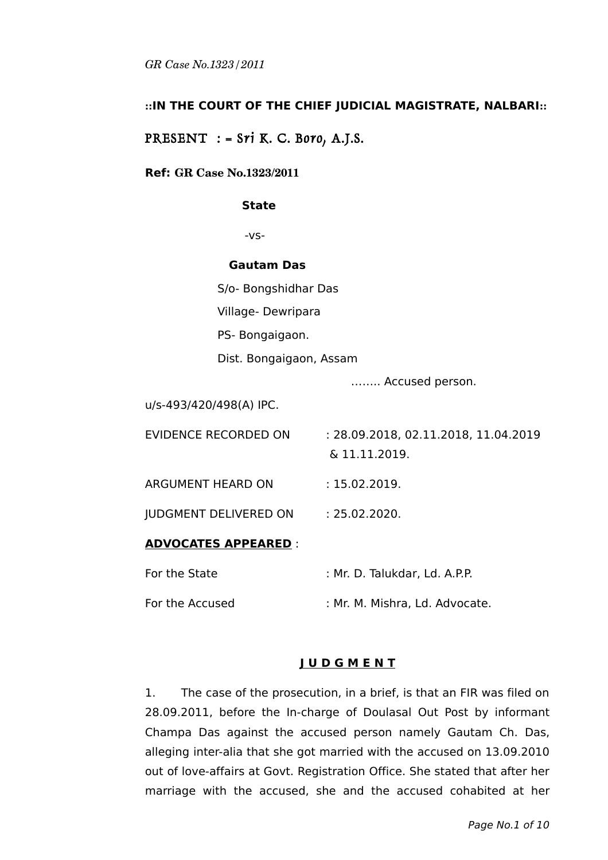# **::IN THE COURT OF THE CHIEF JUDICIAL MAGISTRATE, NALBARI::**

# PRESENT  $:$  = Sri K. C. Boro, A.J.S.

### **Ref: GR Case No.1323/2011**

#### **State**

-vs-

#### **Gautam Das**

S/o- Bongshidhar Das

Village- Dewripara

PS- Bongaigaon.

Dist. Bongaigaon, Assam

…….. Accused person.

u/s-493/420/498(A) IPC.

| <b>ADVOCATES APPEARED :</b>  |                                                       |
|------------------------------|-------------------------------------------------------|
| <b>JUDGMENT DELIVERED ON</b> | : 25.02.2020.                                         |
| <b>ARGUMENT HEARD ON</b>     | : 15.02.2019.                                         |
| EVIDENCE RECORDED ON         | : 28.09.2018, 02.11.2018, 11.04.2019<br>& 11.11.2019. |
|                              |                                                       |

#### **ADVOCATES APPEARED** :

| For the State   | : Mr. D. Talukdar, Ld. A.P.P.  |
|-----------------|--------------------------------|
| For the Accused | : Mr. M. Mishra, Ld. Advocate. |

#### **J U D G M E N T**

1. The case of the prosecution, in a brief, is that an FIR was filed on 28.09.2011, before the In-charge of Doulasal Out Post by informant Champa Das against the accused person namely Gautam Ch. Das, alleging inter-alia that she got married with the accused on 13.09.2010 out of love-affairs at Govt. Registration Office. She stated that after her marriage with the accused, she and the accused cohabited at her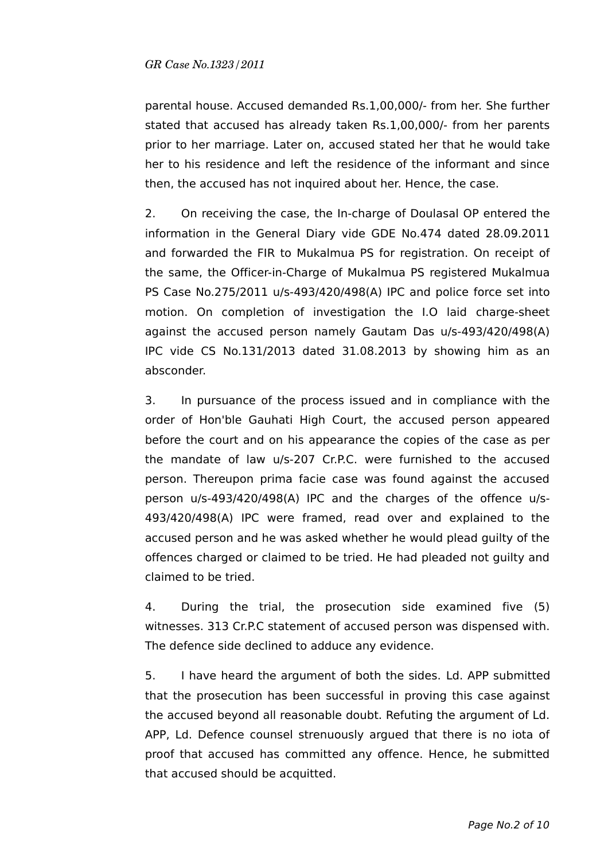parental house. Accused demanded Rs.1,00,000/- from her. She further stated that accused has already taken Rs.1,00,000/- from her parents prior to her marriage. Later on, accused stated her that he would take her to his residence and left the residence of the informant and since then, the accused has not inquired about her. Hence, the case.

2. On receiving the case, the In-charge of Doulasal OP entered the information in the General Diary vide GDE No.474 dated 28.09.2011 and forwarded the FIR to Mukalmua PS for registration. On receipt of the same, the Officer-in-Charge of Mukalmua PS registered Mukalmua PS Case No.275/2011 u/s-493/420/498(A) IPC and police force set into motion. On completion of investigation the I.O laid charge-sheet against the accused person namely Gautam Das u/s-493/420/498(A) IPC vide CS No.131/2013 dated 31.08.2013 by showing him as an absconder.

3. In pursuance of the process issued and in compliance with the order of Hon'ble Gauhati High Court, the accused person appeared before the court and on his appearance the copies of the case as per the mandate of law u/s-207 Cr.P.C. were furnished to the accused person. Thereupon prima facie case was found against the accused person u/s-493/420/498(A) IPC and the charges of the offence u/s-493/420/498(A) IPC were framed, read over and explained to the accused person and he was asked whether he would plead guilty of the offences charged or claimed to be tried. He had pleaded not guilty and claimed to be tried.

4. During the trial, the prosecution side examined five (5) witnesses. 313 Cr.P.C statement of accused person was dispensed with. The defence side declined to adduce any evidence.

5. I have heard the argument of both the sides. Ld. APP submitted that the prosecution has been successful in proving this case against the accused beyond all reasonable doubt. Refuting the argument of Ld. APP, Ld. Defence counsel strenuously argued that there is no iota of proof that accused has committed any offence. Hence, he submitted that accused should be acquitted.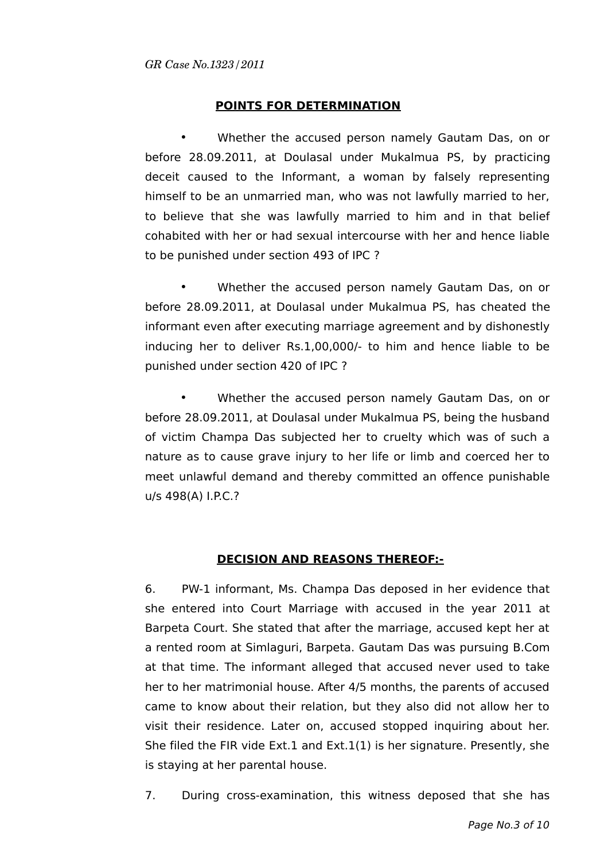## **POINTS FOR DETERMINATION**

• Whether the accused person namely Gautam Das, on or before 28.09.2011, at Doulasal under Mukalmua PS, by practicing deceit caused to the Informant, a woman by falsely representing himself to be an unmarried man, who was not lawfully married to her, to believe that she was lawfully married to him and in that belief cohabited with her or had sexual intercourse with her and hence liable to be punished under section 493 of IPC ?

• Whether the accused person namely Gautam Das, on or before 28.09.2011, at Doulasal under Mukalmua PS, has cheated the informant even after executing marriage agreement and by dishonestly inducing her to deliver Rs.1,00,000/- to him and hence liable to be punished under section 420 of IPC ?

• Whether the accused person namely Gautam Das, on or before 28.09.2011, at Doulasal under Mukalmua PS, being the husband of victim Champa Das subjected her to cruelty which was of such a nature as to cause grave injury to her life or limb and coerced her to meet unlawful demand and thereby committed an offence punishable u/s 498(A) I.P.C.?

#### **DECISION AND REASONS THEREOF:-**

6. PW-1 informant, Ms. Champa Das deposed in her evidence that she entered into Court Marriage with accused in the year 2011 at Barpeta Court. She stated that after the marriage, accused kept her at a rented room at Simlaguri, Barpeta. Gautam Das was pursuing B.Com at that time. The informant alleged that accused never used to take her to her matrimonial house. After 4/5 months, the parents of accused came to know about their relation, but they also did not allow her to visit their residence. Later on, accused stopped inquiring about her. She filed the FIR vide Ext.1 and Ext.1(1) is her signature. Presently, she is staying at her parental house.

7. During cross-examination, this witness deposed that she has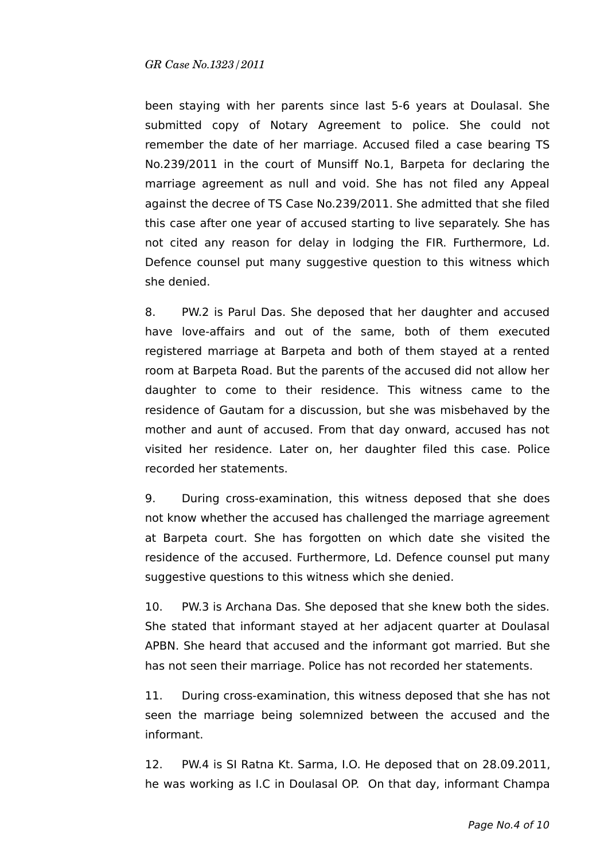been staying with her parents since last 5-6 years at Doulasal. She submitted copy of Notary Agreement to police. She could not remember the date of her marriage. Accused filed a case bearing TS No.239/2011 in the court of Munsiff No.1, Barpeta for declaring the marriage agreement as null and void. She has not filed any Appeal against the decree of TS Case No.239/2011. She admitted that she filed this case after one year of accused starting to live separately. She has not cited any reason for delay in lodging the FIR. Furthermore, Ld. Defence counsel put many suggestive question to this witness which she denied.

8. PW.2 is Parul Das. She deposed that her daughter and accused have love-affairs and out of the same, both of them executed registered marriage at Barpeta and both of them stayed at a rented room at Barpeta Road. But the parents of the accused did not allow her daughter to come to their residence. This witness came to the residence of Gautam for a discussion, but she was misbehaved by the mother and aunt of accused. From that day onward, accused has not visited her residence. Later on, her daughter filed this case. Police recorded her statements.

9. During cross-examination, this witness deposed that she does not know whether the accused has challenged the marriage agreement at Barpeta court. She has forgotten on which date she visited the residence of the accused. Furthermore, Ld. Defence counsel put many suggestive questions to this witness which she denied.

10. PW.3 is Archana Das. She deposed that she knew both the sides. She stated that informant stayed at her adjacent quarter at Doulasal APBN. She heard that accused and the informant got married. But she has not seen their marriage. Police has not recorded her statements.

11. During cross-examination, this witness deposed that she has not seen the marriage being solemnized between the accused and the informant.

12. PW.4 is SI Ratna Kt. Sarma, I.O. He deposed that on 28.09.2011, he was working as I.C in Doulasal OP. On that day, informant Champa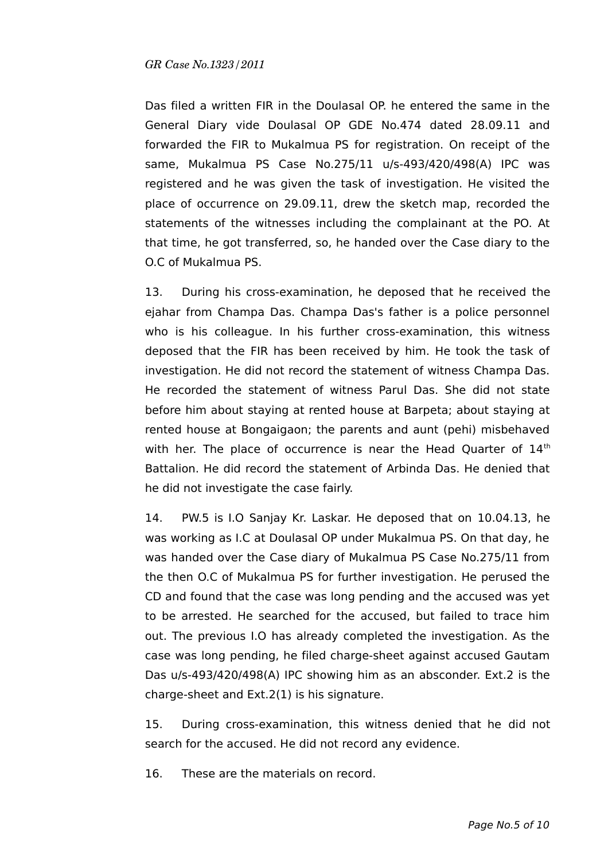Das filed a written FIR in the Doulasal OP. he entered the same in the General Diary vide Doulasal OP GDE No.474 dated 28.09.11 and forwarded the FIR to Mukalmua PS for registration. On receipt of the same, Mukalmua PS Case No.275/11 u/s-493/420/498(A) IPC was registered and he was given the task of investigation. He visited the place of occurrence on 29.09.11, drew the sketch map, recorded the statements of the witnesses including the complainant at the PO. At that time, he got transferred, so, he handed over the Case diary to the O.C of Mukalmua PS.

13. During his cross-examination, he deposed that he received the ejahar from Champa Das. Champa Das's father is a police personnel who is his colleague. In his further cross-examination, this witness deposed that the FIR has been received by him. He took the task of investigation. He did not record the statement of witness Champa Das. He recorded the statement of witness Parul Das. She did not state before him about staying at rented house at Barpeta; about staying at rented house at Bongaigaon; the parents and aunt (pehi) misbehaved with her. The place of occurrence is near the Head Quarter of 14<sup>th</sup> Battalion. He did record the statement of Arbinda Das. He denied that he did not investigate the case fairly.

14. PW.5 is I.O Sanjay Kr. Laskar. He deposed that on 10.04.13, he was working as I.C at Doulasal OP under Mukalmua PS. On that day, he was handed over the Case diary of Mukalmua PS Case No.275/11 from the then O.C of Mukalmua PS for further investigation. He perused the CD and found that the case was long pending and the accused was yet to be arrested. He searched for the accused, but failed to trace him out. The previous I.O has already completed the investigation. As the case was long pending, he filed charge-sheet against accused Gautam Das u/s-493/420/498(A) IPC showing him as an absconder. Ext.2 is the charge-sheet and Ext.2(1) is his signature.

15. During cross-examination, this witness denied that he did not search for the accused. He did not record any evidence.

16. These are the materials on record.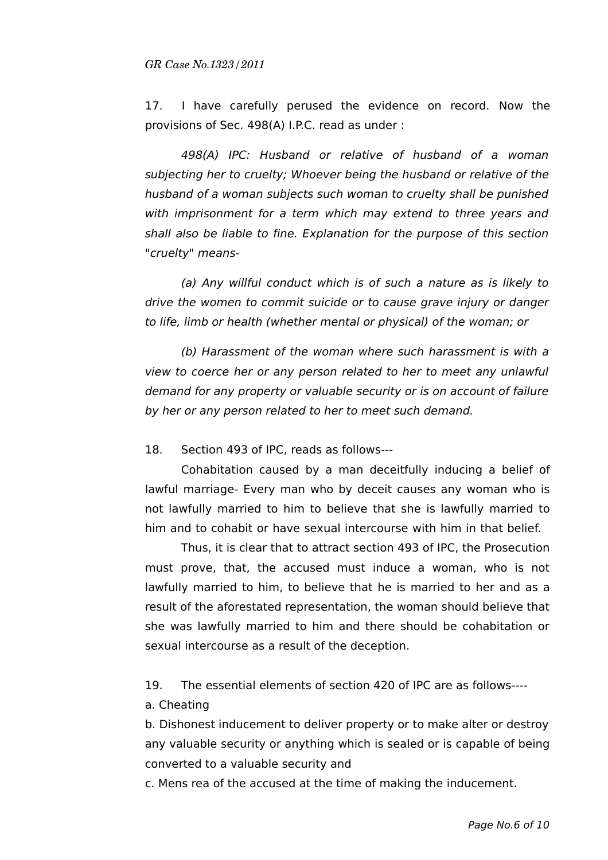17. I have carefully perused the evidence on record. Now the provisions of Sec. 498(A) I.P.C. read as under :

498(A) IPC: Husband or relative of husband of a woman subjecting her to cruelty; Whoever being the husband or relative of the husband of a woman subjects such woman to cruelty shall be punished with imprisonment for a term which may extend to three years and shall also be liable to fine. Explanation for the purpose of this section "cruelty" means-

(a) Any willful conduct which is of such a nature as is likely to drive the women to commit suicide or to cause grave injury or danger to life, limb or health (whether mental or physical) of the woman; or

(b) Harassment of the woman where such harassment is with a view to coerce her or any person related to her to meet any unlawful demand for any property or valuable security or is on account of failure by her or any person related to her to meet such demand.

18. Section 493 of IPC, reads as follows---

Cohabitation caused by a man deceitfully inducing a belief of lawful marriage- Every man who by deceit causes any woman who is not lawfully married to him to believe that she is lawfully married to him and to cohabit or have sexual intercourse with him in that belief.

Thus, it is clear that to attract section 493 of IPC, the Prosecution must prove, that, the accused must induce a woman, who is not lawfully married to him, to believe that he is married to her and as a result of the aforestated representation, the woman should believe that she was lawfully married to him and there should be cohabitation or sexual intercourse as a result of the deception.

19. The essential elements of section 420 of IPC are as follows----

a. Cheating

b. Dishonest inducement to deliver property or to make alter or destroy any valuable security or anything which is sealed or is capable of being converted to a valuable security and

c. Mens rea of the accused at the time of making the inducement.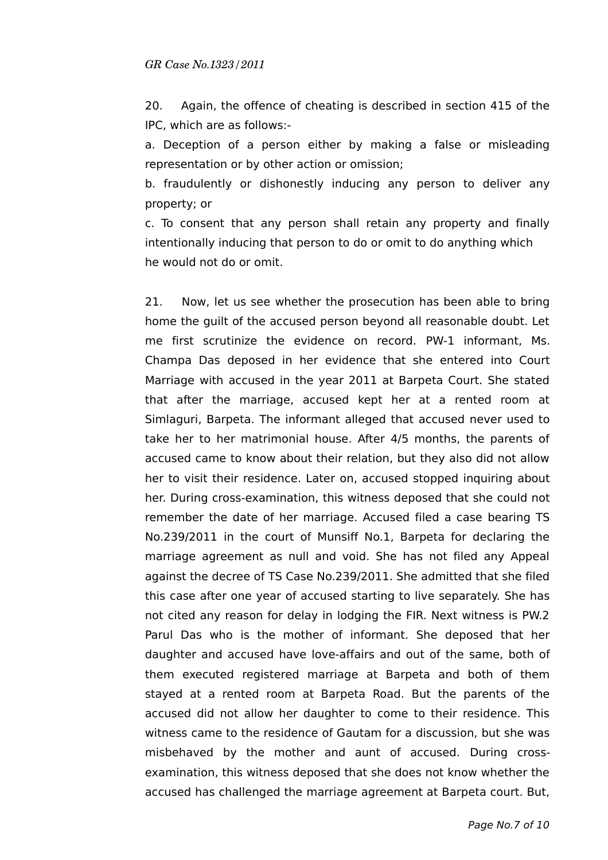20. Again, the offence of cheating is described in section 415 of the IPC, which are as follows:-

a. Deception of a person either by making a false or misleading representation or by other action or omission;

b. fraudulently or dishonestly inducing any person to deliver any property; or

c. To consent that any person shall retain any property and finally intentionally inducing that person to do or omit to do anything which he would not do or omit.

21. Now, let us see whether the prosecution has been able to bring home the guilt of the accused person beyond all reasonable doubt. Let me first scrutinize the evidence on record. PW-1 informant, Ms. Champa Das deposed in her evidence that she entered into Court Marriage with accused in the year 2011 at Barpeta Court. She stated that after the marriage, accused kept her at a rented room at Simlaguri, Barpeta. The informant alleged that accused never used to take her to her matrimonial house. After 4/5 months, the parents of accused came to know about their relation, but they also did not allow her to visit their residence. Later on, accused stopped inquiring about her. During cross-examination, this witness deposed that she could not remember the date of her marriage. Accused filed a case bearing TS No.239/2011 in the court of Munsiff No.1, Barpeta for declaring the marriage agreement as null and void. She has not filed any Appeal against the decree of TS Case No.239/2011. She admitted that she filed this case after one year of accused starting to live separately. She has not cited any reason for delay in lodging the FIR. Next witness is PW.2 Parul Das who is the mother of informant. She deposed that her daughter and accused have love-affairs and out of the same, both of them executed registered marriage at Barpeta and both of them stayed at a rented room at Barpeta Road. But the parents of the accused did not allow her daughter to come to their residence. This witness came to the residence of Gautam for a discussion, but she was misbehaved by the mother and aunt of accused. During crossexamination, this witness deposed that she does not know whether the accused has challenged the marriage agreement at Barpeta court. But,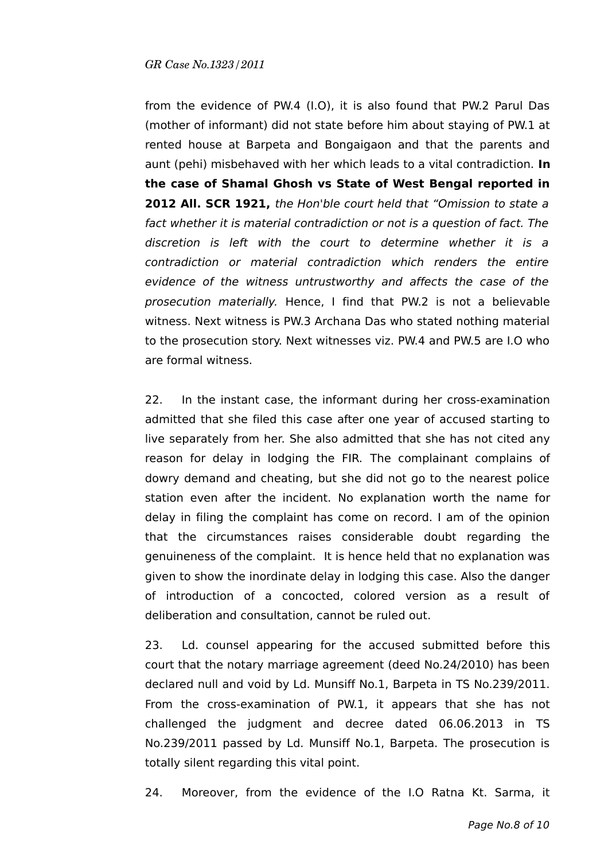from the evidence of PW.4 (I.O), it is also found that PW.2 Parul Das (mother of informant) did not state before him about staying of PW.1 at rented house at Barpeta and Bongaigaon and that the parents and aunt (pehi) misbehaved with her which leads to a vital contradiction. **In the case of Shamal Ghosh vs State of West Bengal reported in 2012 All. SCR 1921,** the Hon'ble court held that "Omission to state a fact whether it is material contradiction or not is a question of fact. The discretion is left with the court to determine whether it is a contradiction or material contradiction which renders the entire evidence of the witness untrustworthy and affects the case of the prosecution materially. Hence, I find that PW.2 is not a believable witness. Next witness is PW.3 Archana Das who stated nothing material to the prosecution story. Next witnesses viz. PW.4 and PW.5 are I.O who are formal witness.

22. In the instant case, the informant during her cross-examination admitted that she filed this case after one year of accused starting to live separately from her. She also admitted that she has not cited any reason for delay in lodging the FIR. The complainant complains of dowry demand and cheating, but she did not go to the nearest police station even after the incident. No explanation worth the name for delay in filing the complaint has come on record. I am of the opinion that the circumstances raises considerable doubt regarding the genuineness of the complaint. It is hence held that no explanation was given to show the inordinate delay in lodging this case. Also the danger of introduction of a concocted, colored version as a result of deliberation and consultation, cannot be ruled out.

23. Ld. counsel appearing for the accused submitted before this court that the notary marriage agreement (deed No.24/2010) has been declared null and void by Ld. Munsiff No.1, Barpeta in TS No.239/2011. From the cross-examination of PW.1, it appears that she has not challenged the judgment and decree dated 06.06.2013 in TS No.239/2011 passed by Ld. Munsiff No.1, Barpeta. The prosecution is totally silent regarding this vital point.

24. Moreover, from the evidence of the I.O Ratna Kt. Sarma, it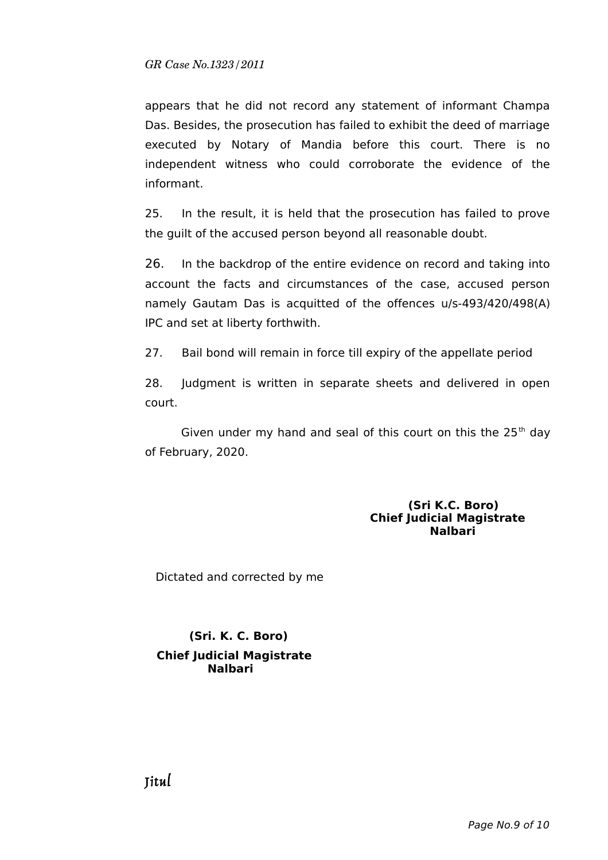appears that he did not record any statement of informant Champa Das. Besides, the prosecution has failed to exhibit the deed of marriage executed by Notary of Mandia before this court. There is no independent witness who could corroborate the evidence of the informant.

25. In the result, it is held that the prosecution has failed to prove the guilt of the accused person beyond all reasonable doubt.

26. In the backdrop of the entire evidence on record and taking into account the facts and circumstances of the case, accused person namely Gautam Das is acquitted of the offences u/s-493/420/498(A) IPC and set at liberty forthwith.

27. Bail bond will remain in force till expiry of the appellate period

28. Judgment is written in separate sheets and delivered in open court.

Given under my hand and seal of this court on this the  $25<sup>th</sup>$  day of February, 2020.

## **(Sri K.C. Boro) Chief Judicial Magistrate Nalbari**

Dictated and corrected by me

 **(Sri. K. C. Boro) Chief Judicial Magistrate Nalbari**